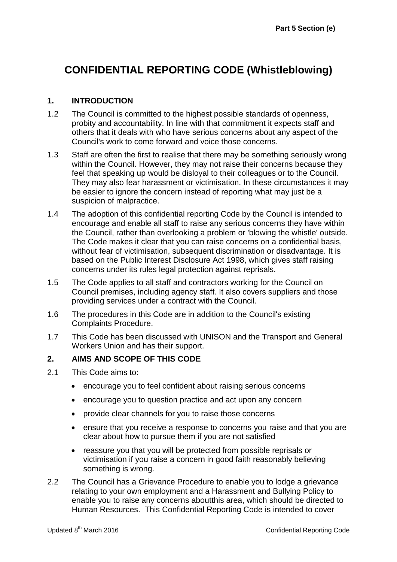# **CONFIDENTIAL REPORTING CODE (Whistleblowing)**

### **1. INTRODUCTION**

- 1.2 The Council is committed to the highest possible standards of openness, probity and accountability. In line with that commitment it expects staff and others that it deals with who have serious concerns about any aspect of the Council's work to come forward and voice those concerns.
- 1.3 Staff are often the first to realise that there may be something seriously wrong within the Council. However, they may not raise their concerns because they feel that speaking up would be disloyal to their colleagues or to the Council. They may also fear harassment or victimisation. In these circumstances it may be easier to ignore the concern instead of reporting what may just be a suspicion of malpractice.
- 1.4 The adoption of this confidential reporting Code by the Council is intended to encourage and enable all staff to raise any serious concerns they have within the Council, rather than overlooking a problem or 'blowing the whistle' outside. The Code makes it clear that you can raise concerns on a confidential basis, without fear of victimisation, subsequent discrimination or disadvantage. It is based on the Public Interest Disclosure Act 1998, which gives staff raising concerns under its rules legal protection against reprisals.
- 1.5 The Code applies to all staff and contractors working for the Council on Council premises, including agency staff. It also covers suppliers and those providing services under a contract with the Council.
- 1.6 The procedures in this Code are in addition to the Council's existing Complaints Procedure.
- 1.7 This Code has been discussed with UNISON and the Transport and General Workers Union and has their support.

#### **2. AIMS AND SCOPE OF THIS CODE**

- 2.1 This Code aims to:
	- encourage you to feel confident about raising serious concerns
	- encourage you to question practice and act upon any concern
	- provide clear channels for you to raise those concerns
	- ensure that you receive a response to concerns you raise and that you are clear about how to pursue them if you are not satisfied
	- reassure you that you will be protected from possible reprisals or victimisation if you raise a concern in good faith reasonably believing something is wrong.
- 2.2 The Council has a Grievance Procedure to enable you to lodge a grievance relating to your own employment and a Harassment and Bullying Policy to enable you to raise any concerns aboutthis area, which should be directed to Human Resources. This Confidential Reporting Code is intended to cover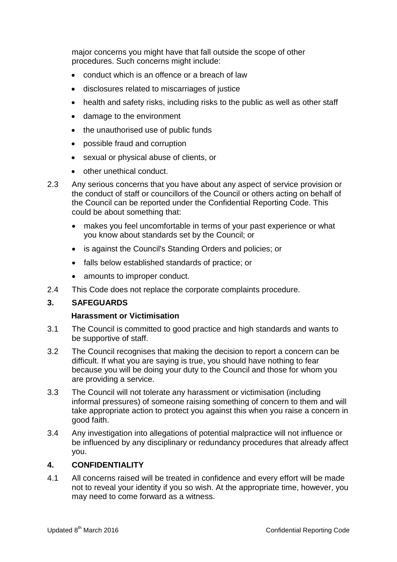major concerns you might have that fall outside the scope of other procedures. Such concerns might include:

- conduct which is an offence or a breach of law
- disclosures related to miscarriages of justice
- health and safety risks, including risks to the public as well as other staff
- damage to the environment
- the unauthorised use of public funds
- possible fraud and corruption
- sexual or physical abuse of clients, or
- other unethical conduct.
- 2.3 Any serious concerns that you have about any aspect of service provision or the conduct of staff or councillors of the Council or others acting on behalf of the Council can be reported under the Confidential Reporting Code. This could be about something that:
	- makes you feel uncomfortable in terms of your past experience or what you know about standards set by the Council; or
	- is against the Council's Standing Orders and policies; or
	- falls below established standards of practice; or
	- amounts to improper conduct.
- 2.4 This Code does not replace the corporate complaints procedure.

#### **3. SAFEGUARDS**

#### **Harassment or Victimisation**

- 3.1 The Council is committed to good practice and high standards and wants to be supportive of staff.
- 3.2 The Council recognises that making the decision to report a concern can be difficult. If what you are saying is true, you should have nothing to fear because you will be doing your duty to the Council and those for whom you are providing a service.
- 3.3 The Council will not tolerate any harassment or victimisation (including informal pressures) of someone raising something of concern to them and will take appropriate action to protect you against this when you raise a concern in good faith.
- 3.4 Any investigation into allegations of potential malpractice will not influence or be influenced by any disciplinary or redundancy procedures that already affect you.

# **4. CONFIDENTIALITY**

4.1 All concerns raised will be treated in confidence and every effort will be made not to reveal your identity if you so wish. At the appropriate time, however, you may need to come forward as a witness.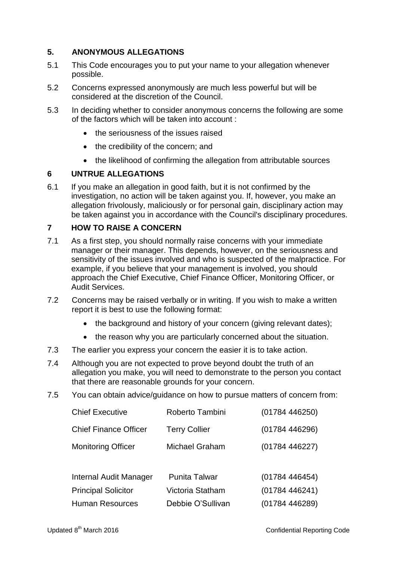# **5. ANONYMOUS ALLEGATIONS**

- 5.1 This Code encourages you to put your name to your allegation whenever possible.
- 5.2 Concerns expressed anonymously are much less powerful but will be considered at the discretion of the Council.
- 5.3 In deciding whether to consider anonymous concerns the following are some of the factors which will be taken into account :
	- the seriousness of the issues raised
	- the credibility of the concern; and
	- the likelihood of confirming the allegation from attributable sources

# **6 UNTRUE ALLEGATIONS**

6.1 If you make an allegation in good faith, but it is not confirmed by the investigation, no action will be taken against you. If, however, you make an allegation frivolously, maliciously or for personal gain, disciplinary action may be taken against you in accordance with the Council's disciplinary procedures.

#### **7 HOW TO RAISE A CONCERN**

- 7.1 As a first step, you should normally raise concerns with your immediate manager or their manager. This depends, however, on the seriousness and sensitivity of the issues involved and who is suspected of the malpractice. For example, if you believe that your management is involved, you should approach the Chief Executive, Chief Finance Officer, Monitoring Officer, or Audit Services.
- 7.2 Concerns may be raised verbally or in writing. If you wish to make a written report it is best to use the following format:
	- the background and history of your concern (giving relevant dates);
	- the reason why you are particularly concerned about the situation.
- 7.3 The earlier you express your concern the easier it is to take action.
- 7.4 Although you are not expected to prove beyond doubt the truth of an allegation you make, you will need to demonstrate to the person you contact that there are reasonable grounds for your concern.
- 7.5 You can obtain advice/guidance on how to pursue matters of concern from:

| <b>Chief Executive</b>       | Roberto Tambini       | (01784446250) |
|------------------------------|-----------------------|---------------|
| <b>Chief Finance Officer</b> | <b>Terry Collier</b>  | (01784446296) |
| <b>Monitoring Officer</b>    | <b>Michael Graham</b> | (01784446227) |
|                              |                       |               |
| Internal Audit Manager       | <b>Punita Talwar</b>  | (01784446454) |
| <b>Principal Solicitor</b>   | Victoria Statham      | (01784446241) |
| <b>Human Resources</b>       | Debbie O'Sullivan     | (01784446289) |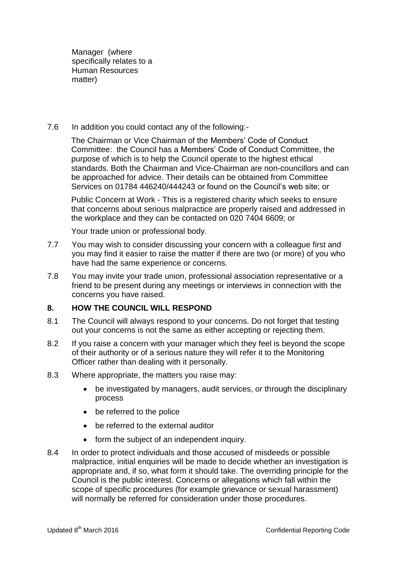Manager (where specifically relates to a Human Resources matter)

7.6 In addition you could contact any of the following:-

The Chairman or Vice Chairman of the Members' Code of Conduct Committee: the Council has a Members' Code of Conduct Committee, the purpose of which is to help the Council operate to the highest ethical standards. Both the Chairman and Vice-Chairman are non-councillors and can be approached for advice. Their details can be obtained from Committee Services on 01784 446240/444243 or found on the Council's web site; or

Public Concern at Work - This is a registered charity which seeks to ensure that concerns about serious malpractice are properly raised and addressed in the workplace and they can be contacted on 020 7404 6609; or

Your trade union or professional body.

- 7.7 You may wish to consider discussing your concern with a colleague first and you may find it easier to raise the matter if there are two (or more) of you who have had the same experience or concerns.
- 7.8 You may invite your trade union, professional association representative or a friend to be present during any meetings or interviews in connection with the concerns you have raised.

# **8. HOW THE COUNCIL WILL RESPOND**

- 8.1 The Council will always respond to your concerns. Do not forget that testing out your concerns is not the same as either accepting or rejecting them.
- 8.2 If you raise a concern with your manager which they feel is beyond the scope of their authority or of a serious nature they will refer it to the Monitoring Officer rather than dealing with it personally.
- 8.3 Where appropriate, the matters you raise may:
	- be investigated by managers, audit services, or through the disciplinary process
	- be referred to the police
	- be referred to the external auditor
	- form the subject of an independent inquiry.
- 8.4 In order to protect individuals and those accused of misdeeds or possible malpractice, initial enquiries will be made to decide whether an investigation is appropriate and, if so, what form it should take. The overriding principle for the Council is the public interest. Concerns or allegations which fall within the scope of specific procedures (for example grievance or sexual harassment) will normally be referred for consideration under those procedures.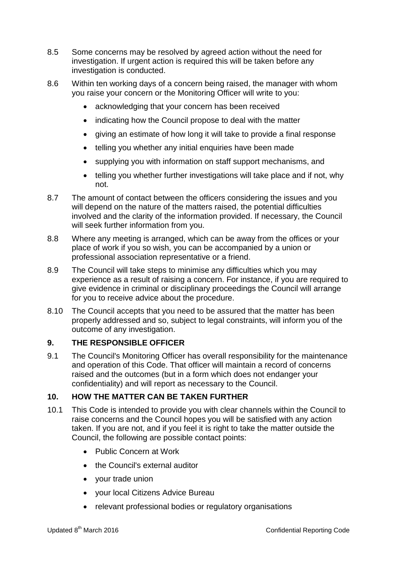- 8.5 Some concerns may be resolved by agreed action without the need for investigation. If urgent action is required this will be taken before any investigation is conducted.
- 8.6 Within ten working days of a concern being raised, the manager with whom you raise your concern or the Monitoring Officer will write to you:
	- acknowledging that your concern has been received
	- indicating how the Council propose to deal with the matter
	- giving an estimate of how long it will take to provide a final response
	- telling you whether any initial enquiries have been made
	- supplying you with information on staff support mechanisms, and
	- telling you whether further investigations will take place and if not, why not.
- 8.7 The amount of contact between the officers considering the issues and you will depend on the nature of the matters raised, the potential difficulties involved and the clarity of the information provided. If necessary, the Council will seek further information from you.
- 8.8 Where any meeting is arranged, which can be away from the offices or your place of work if you so wish, you can be accompanied by a union or professional association representative or a friend.
- 8.9 The Council will take steps to minimise any difficulties which you may experience as a result of raising a concern. For instance, if you are required to give evidence in criminal or disciplinary proceedings the Council will arrange for you to receive advice about the procedure.
- 8.10 The Council accepts that you need to be assured that the matter has been properly addressed and so, subject to legal constraints, will inform you of the outcome of any investigation.

# **9. THE RESPONSIBLE OFFICER**

9.1 The Council's Monitoring Officer has overall responsibility for the maintenance and operation of this Code. That officer will maintain a record of concerns raised and the outcomes (but in a form which does not endanger your confidentiality) and will report as necessary to the Council.

#### **10. HOW THE MATTER CAN BE TAKEN FURTHER**

- 10.1 This Code is intended to provide you with clear channels within the Council to raise concerns and the Council hopes you will be satisfied with any action taken. If you are not, and if you feel it is right to take the matter outside the Council, the following are possible contact points:
	- Public Concern at Work
	- the Council's external auditor
	- your trade union
	- your local Citizens Advice Bureau
	- relevant professional bodies or regulatory organisations